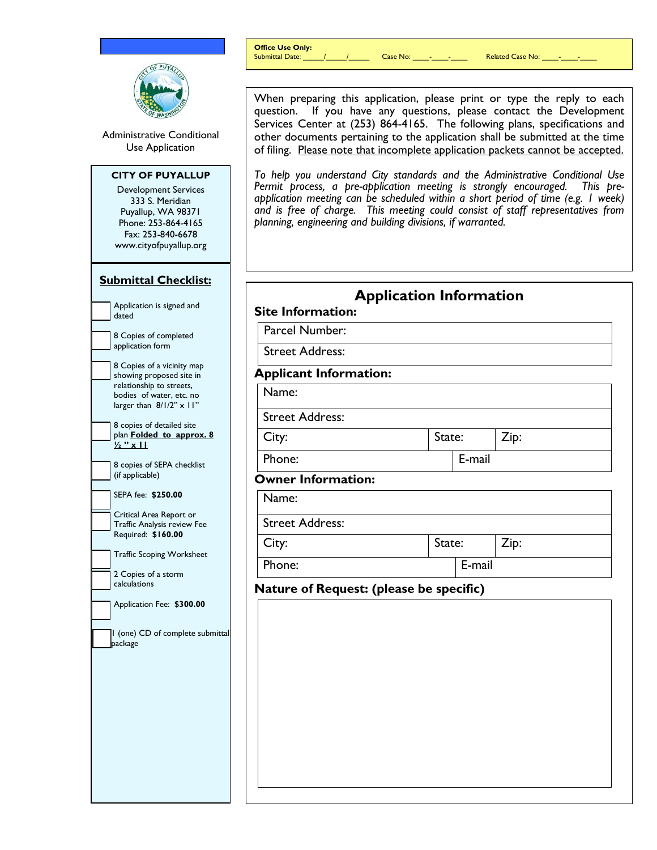|                                                                                                                                                                       | <b>Office Use Only:</b>                                                                                                                                                                                                                                                                                                                                                                        |                                | Related Case No: _____ _____ ______                                                                                                                                                                                                                                                                                                |  |
|-----------------------------------------------------------------------------------------------------------------------------------------------------------------------|------------------------------------------------------------------------------------------------------------------------------------------------------------------------------------------------------------------------------------------------------------------------------------------------------------------------------------------------------------------------------------------------|--------------------------------|------------------------------------------------------------------------------------------------------------------------------------------------------------------------------------------------------------------------------------------------------------------------------------------------------------------------------------|--|
|                                                                                                                                                                       |                                                                                                                                                                                                                                                                                                                                                                                                |                                |                                                                                                                                                                                                                                                                                                                                    |  |
| Administrative Conditional<br>Use Application                                                                                                                         | When preparing this application, please print or type the reply to each<br>question. If you have any questions, please contact the Development<br>Services Center at (253) 864-4165. The following plans, specifications and<br>other documents pertaining to the application shall be submitted at the time<br>of filing. Please note that incomplete application packets cannot be accepted. |                                |                                                                                                                                                                                                                                                                                                                                    |  |
| <b>CITY OF PUYALLUP</b><br><b>Development Services</b><br>333 S. Meridian<br>Puyallup, WA 98371<br>Phone: 253-864-4165<br>Fax: 253-840-6678<br>www.cityofpuyallup.org | planning, engineering and building divisions, if warranted.                                                                                                                                                                                                                                                                                                                                    |                                | To help you understand City standards and the Administrative Conditional Use<br>Permit process, a pre-application meeting is strongly encouraged. This pre-<br>application meeting can be scheduled within a short period of time (e.g. I week)<br>and is free of charge. This meeting could consist of staff representatives from |  |
| <b>Submittal Checklist:</b>                                                                                                                                           |                                                                                                                                                                                                                                                                                                                                                                                                |                                |                                                                                                                                                                                                                                                                                                                                    |  |
| Application is signed and<br>dated                                                                                                                                    | <b>Site Information:</b>                                                                                                                                                                                                                                                                                                                                                                       | <b>Application Information</b> |                                                                                                                                                                                                                                                                                                                                    |  |
| 8 Copies of completed                                                                                                                                                 | Parcel Number:<br><b>Street Address:</b>                                                                                                                                                                                                                                                                                                                                                       |                                |                                                                                                                                                                                                                                                                                                                                    |  |
| application form<br>8 Copies of a vicinity map                                                                                                                        |                                                                                                                                                                                                                                                                                                                                                                                                |                                |                                                                                                                                                                                                                                                                                                                                    |  |
| showing proposed site in<br>relationship to streets,                                                                                                                  | <b>Applicant Information:</b>                                                                                                                                                                                                                                                                                                                                                                  |                                |                                                                                                                                                                                                                                                                                                                                    |  |
| bodies of water, etc. no<br>larger than $8/1/2" \times 11"$                                                                                                           | Name:                                                                                                                                                                                                                                                                                                                                                                                          |                                |                                                                                                                                                                                                                                                                                                                                    |  |
| 8 copies of detailed site                                                                                                                                             | <b>Street Address:</b>                                                                                                                                                                                                                                                                                                                                                                         |                                |                                                                                                                                                                                                                                                                                                                                    |  |
| plan Folded to approx. 8<br>$\frac{1}{2}$ " x 11                                                                                                                      | City:                                                                                                                                                                                                                                                                                                                                                                                          | State:                         | Zip:                                                                                                                                                                                                                                                                                                                               |  |
| 8 copies of SEPA checklist<br>(if applicable)                                                                                                                         | E-mail<br>Phone:                                                                                                                                                                                                                                                                                                                                                                               |                                |                                                                                                                                                                                                                                                                                                                                    |  |
| SEPA fee: \$250.00                                                                                                                                                    | <b>Owner Information:</b>                                                                                                                                                                                                                                                                                                                                                                      |                                |                                                                                                                                                                                                                                                                                                                                    |  |
| Critical Area Report or                                                                                                                                               | Name:                                                                                                                                                                                                                                                                                                                                                                                          |                                |                                                                                                                                                                                                                                                                                                                                    |  |
| Traffic Analysis review Fee<br>Required: \$160.00                                                                                                                     | <b>Street Address:</b>                                                                                                                                                                                                                                                                                                                                                                         |                                |                                                                                                                                                                                                                                                                                                                                    |  |
| <b>Traffic Scoping Worksheet</b>                                                                                                                                      | City:                                                                                                                                                                                                                                                                                                                                                                                          | State:                         | Zip:                                                                                                                                                                                                                                                                                                                               |  |
| 2 Copies of a storm<br>calculations                                                                                                                                   | Phone:<br>E-mail                                                                                                                                                                                                                                                                                                                                                                               |                                |                                                                                                                                                                                                                                                                                                                                    |  |
| Application Fee: \$300.00                                                                                                                                             | Nature of Request: (please be specific)                                                                                                                                                                                                                                                                                                                                                        |                                |                                                                                                                                                                                                                                                                                                                                    |  |
| (one) CD of complete submittal<br>package                                                                                                                             |                                                                                                                                                                                                                                                                                                                                                                                                |                                |                                                                                                                                                                                                                                                                                                                                    |  |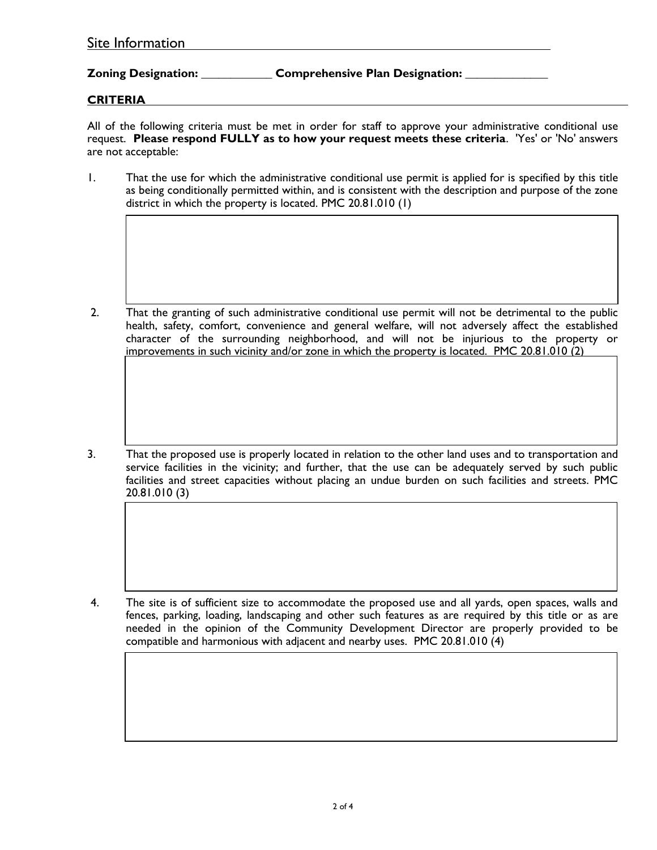| Site Information |  |  |
|------------------|--|--|
|                  |  |  |

## **Zoning Designation: \_\_\_\_\_\_\_\_\_\_\_\_ Comprehensive Plan Designation: \_\_\_\_\_\_\_\_\_\_\_\_\_\_**

## **CRITERIA**

All of the following criteria must be met in order for staff to approve your administrative conditional use request. **Please respond FULLY as to how your request meets these criteria**. 'Yes' or 'No' answers are not acceptable:

1. That the use for which the administrative conditional use permit is applied for is specified by this title as being conditionally permitted within, and is consistent with the description and purpose of the zone district in which the property is located. PMC 20.81.010 (1)

2. That the granting of such administrative conditional use permit will not be detrimental to the public health, safety, comfort, convenience and general welfare, will not adversely affect the established character of the surrounding neighborhood, and will not be injurious to the property or improvements in such vicinity and/or zone in which the property is located. PMC 20.81.010 (2)

3. That the proposed use is properly located in relation to the other land uses and to transportation and service facilities in the vicinity; and further, that the use can be adequately served by such public facilities and street capacities without placing an undue burden on such facilities and streets. PMC 20.81.010 (3)

4. The site is of sufficient size to accommodate the proposed use and all yards, open spaces, walls and fences, parking, loading, landscaping and other such features as are required by this title or as are needed in the opinion of the Community Development Director are properly provided to be compatible and harmonious with adjacent and nearby uses. PMC 20.81.010 (4)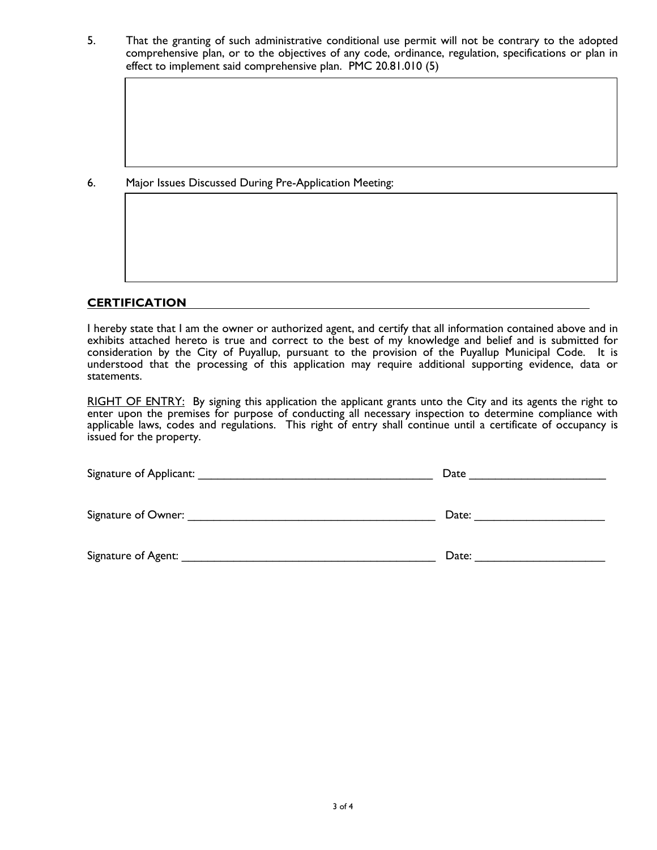5. That the granting of such administrative conditional use permit will not be contrary to the adopted comprehensive plan, or to the objectives of any code, ordinance, regulation, specifications or plan in effect to implement said comprehensive plan. PMC 20.81.010 (5)

6. Major Issues Discussed During Pre-Application Meeting:

## **CERTIFICATION**

I hereby state that I am the owner or authorized agent, and certify that all information contained above and in exhibits attached hereto is true and correct to the best of my knowledge and belief and is submitted for consideration by the City of Puyallup, pursuant to the provision of the Puyallup Municipal Code. It is understood that the processing of this application may require additional supporting evidence, data or statements.

RIGHT OF ENTRY: By signing this application the applicant grants unto the City and its agents the right to enter upon the premises for purpose of conducting all necessary inspection to determine compliance with applicable laws, codes and regulations. This right of entry shall continue until a certificate of occupancy is issued for the property.

| Signature of Applicant: | Date  |  |  |
|-------------------------|-------|--|--|
| Signature of Owner: _   | Date: |  |  |
| Signature of Agent:     | Date: |  |  |